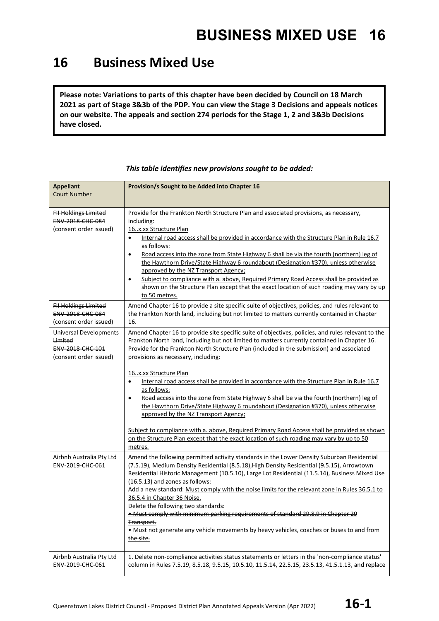#### **16 Business Mixed Use**

**Please note: Variations to parts of this chapter have been decided by Council on 18 March 2021 as part of Stage 3&3b of the PDP. You can view the Stage 3 Decisions and appeals notices on our website. The appeals and section 274 periods for the Stage 1, 2 and 3&3b Decisions have closed.**

| <b>Appellant</b><br><b>Court Number</b>                                         | Provision/s Sought to be Added into Chapter 16                                                                                                                                                                                                                                                                                                                                                                                                                                                                                                                                                                                                                                                                                                                                                                                                                                                                                          |
|---------------------------------------------------------------------------------|-----------------------------------------------------------------------------------------------------------------------------------------------------------------------------------------------------------------------------------------------------------------------------------------------------------------------------------------------------------------------------------------------------------------------------------------------------------------------------------------------------------------------------------------------------------------------------------------------------------------------------------------------------------------------------------------------------------------------------------------------------------------------------------------------------------------------------------------------------------------------------------------------------------------------------------------|
| <b>FII Holdings Limited</b><br>ENV-2018-CHC-084<br>(consent order issued)       | Provide for the Frankton North Structure Plan and associated provisions, as necessary,<br>including:<br>16x.xx Structure Plan<br>Internal road access shall be provided in accordance with the Structure Plan in Rule 16.7<br>$\bullet$<br>as follows:<br>Road access into the zone from State Highway 6 shall be via the fourth (northern) leg of<br>$\bullet$<br>the Hawthorn Drive/State Highway 6 roundabout (Designation #370), unless otherwise<br>approved by the NZ Transport Agency;<br>Subject to compliance with a. above, Required Primary Road Access shall be provided as<br>$\bullet$<br>shown on the Structure Plan except that the exact location of such roading may vary by up<br>to 50 metres.                                                                                                                                                                                                                      |
| <b>FII Holdings Limited</b><br>ENV-2018-CHC-084<br>(consent order issued)       | Amend Chapter 16 to provide a site specific suite of objectives, policies, and rules relevant to<br>the Frankton North land, including but not limited to matters currently contained in Chapter<br>16.                                                                                                                                                                                                                                                                                                                                                                                                                                                                                                                                                                                                                                                                                                                                 |
| Universal Developments<br>Limited<br>ENV-2018-CHC-101<br>(consent order issued) | Amend Chapter 16 to provide site specific suite of objectives, policies, and rules relevant to the<br>Frankton North land, including but not limited to matters currently contained in Chapter 16.<br>Provide for the Frankton North Structure Plan (included in the submission) and associated<br>provisions as necessary, including:<br>16x.xx Structure Plan<br>Internal road access shall be provided in accordance with the Structure Plan in Rule 16.7<br>$\bullet$<br>as follows:<br>Road access into the zone from State Highway 6 shall be via the fourth (northern) leg of<br>$\bullet$<br>the Hawthorn Drive/State Highway 6 roundabout (Designation #370), unless otherwise<br>approved by the NZ Transport Agency;<br>Subject to compliance with a. above, Required Primary Road Access shall be provided as shown<br>on the Structure Plan except that the exact location of such roading may vary by up to 50<br>metres. |
| Airbnb Australia Pty Ltd<br>ENV-2019-CHC-061                                    | Amend the following permitted activity standards in the Lower Density Suburban Residential<br>(7.5.19), Medium Density Residential (8.5.18), High Density Residential (9.5.15), Arrowtown<br>Residential Historic Management (10.5.10), Large Lot Residential (11.5.14), Business Mixed Use<br>(16.5.13) and zones as follows:<br>Add a new standard: Must comply with the noise limits for the relevant zone in Rules 36.5.1 to<br>36.5.4 in Chapter 36 Noise.<br>Delete the following two standards:<br>. Must comply with minimum parking requirements of standard 29.8.9 in Chapter<br>Transport.<br>• Must not generate any vehicle movements by heavy vehicles, coaches or buses to and from<br>the site.                                                                                                                                                                                                                         |
| Airbnb Australia Pty Ltd<br>ENV-2019-CHC-061                                    | 1. Delete non-compliance activities status statements or letters in the 'non-compliance status'<br>column in Rules 7.5.19, 8.5.18, 9.5.15, 10.5.10, 11.5.14, 22.5.15, 23.5.13, 41.5.1.13, and replace                                                                                                                                                                                                                                                                                                                                                                                                                                                                                                                                                                                                                                                                                                                                   |

*This table identifies new provisions sought to be added:*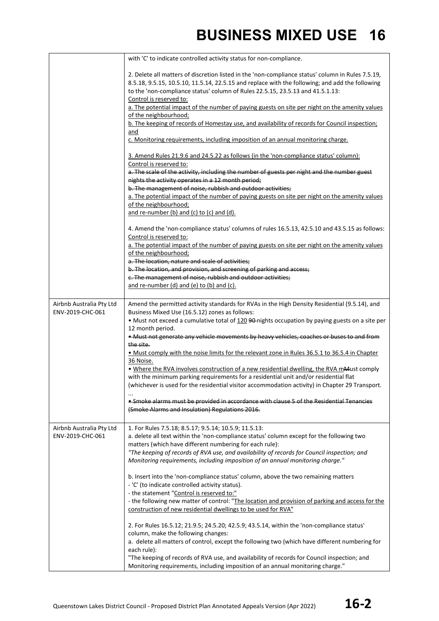|                                              | with 'C' to indicate controlled activity status for non-compliance.                                                                                                                                                                                                                                                                                                                                                                                                                                                                                                                                                                                                                                                                                                                                                                                                                                                                                                                                                                                                                                                                                                                              |
|----------------------------------------------|--------------------------------------------------------------------------------------------------------------------------------------------------------------------------------------------------------------------------------------------------------------------------------------------------------------------------------------------------------------------------------------------------------------------------------------------------------------------------------------------------------------------------------------------------------------------------------------------------------------------------------------------------------------------------------------------------------------------------------------------------------------------------------------------------------------------------------------------------------------------------------------------------------------------------------------------------------------------------------------------------------------------------------------------------------------------------------------------------------------------------------------------------------------------------------------------------|
|                                              | 2. Delete all matters of discretion listed in the 'non-compliance status' column in Rules 7.5.19,<br>8.5.18, 9.5.15, 10.5.10, 11.5.14, 22.5.15 and replace with the following; and add the following<br>to the 'non-compliance status' column of Rules 22.5.15, 23.5.13 and 41.5.1.13:<br>Control is reserved to:<br>a. The potential impact of the number of paying guests on site per night on the amenity values<br>of the neighbourhood;<br>b. The keeping of records of Homestay use, and availability of records for Council inspection;<br>and<br>c. Monitoring requirements, including imposition of an annual monitoring charge.                                                                                                                                                                                                                                                                                                                                                                                                                                                                                                                                                        |
|                                              | 3. Amend Rules 21.9.6 and 24.5.22 as follows (in the 'non-compliance status' column):<br>Control is reserved to:<br>a. The scale of the activity, including the number of guests per night and the number guest<br>nights the activity operates in a 12 month period;                                                                                                                                                                                                                                                                                                                                                                                                                                                                                                                                                                                                                                                                                                                                                                                                                                                                                                                            |
|                                              | b. The management of noise, rubbish and outdoor activities;<br>a. The potential impact of the number of paying guests on site per night on the amenity values<br>of the neighbourhood;<br>and re-number (b) and (c) to (c) and (d).                                                                                                                                                                                                                                                                                                                                                                                                                                                                                                                                                                                                                                                                                                                                                                                                                                                                                                                                                              |
|                                              | 4. Amend the 'non-compliance status' columns of rules 16.5.13, 42.5.10 and 43.5.15 as follows:<br>Control is reserved to:<br>a. The potential impact of the number of paying guests on site per night on the amenity values<br>of the neighbourhood;<br>a. The location, nature and scale of activities;<br>b. The location, and provision, and screening of parking and access;<br>c. The management of noise, rubbish and outdoor activities;<br>and re-number (d) and (e) to (b) and (c).                                                                                                                                                                                                                                                                                                                                                                                                                                                                                                                                                                                                                                                                                                     |
| Airbnb Australia Pty Ltd<br>ENV-2019-CHC-061 | Amend the permitted activity standards for RVAs in the High Density Residential (9.5.14), and<br>Business Mixed Use (16.5.12) zones as follows:<br>. Must not exceed a cumulative total of 120 90-nights occupation by paying guests on a site per<br>12 month period.<br>. Must not generate any vehicle movements by heavy vehicles, coaches or buses to and from<br>the site.<br>. Must comply with the noise limits for the relevant zone in Rules 36.5.1 to 36.5.4 in Chapter<br>36 Noise.<br>. Where the RVA involves construction of a new residential dwelling, the RVA mMust comply<br>with the minimum parking requirements for a residential unit and/or residential flat<br>(whichever is used for the residential visitor accommodation activity) in Chapter 29 Transport.<br>• Smoke alarms must be provided in accordance with clause 5 of the Residential Tenancies<br>(Smoke Alarms and Insulation) Regulations 2016.                                                                                                                                                                                                                                                           |
| Airbnb Australia Pty Ltd<br>ENV-2019-CHC-061 | 1. For Rules 7.5.18; 8.5.17; 9.5.14; 10.5.9; 11.5.13:<br>a. delete all text within the 'non-compliance status' column except for the following two<br>matters (which have different numbering for each rule):<br>"The keeping of records of RVA use, and availability of records for Council inspection; and<br>Monitoring requirements, including imposition of an annual monitoring charge."<br>b. Insert into the 'non-compliance status' column, above the two remaining matters<br>- 'C' (to indicate controlled activity status).<br>- the statement "Control is reserved to:"<br>- the following new matter of control: "The location and provision of parking and access for the<br>construction of new residential dwellings to be used for RVA"<br>2. For Rules 16.5.12; 21.9.5; 24.5.20; 42.5.9; 43.5.14, within the 'non-compliance status'<br>column, make the following changes:<br>a. delete all matters of control, except the following two (which have different numbering for<br>each rule):<br>"The keeping of records of RVA use, and availability of records for Council inspection; and<br>Monitoring requirements, including imposition of an annual monitoring charge." |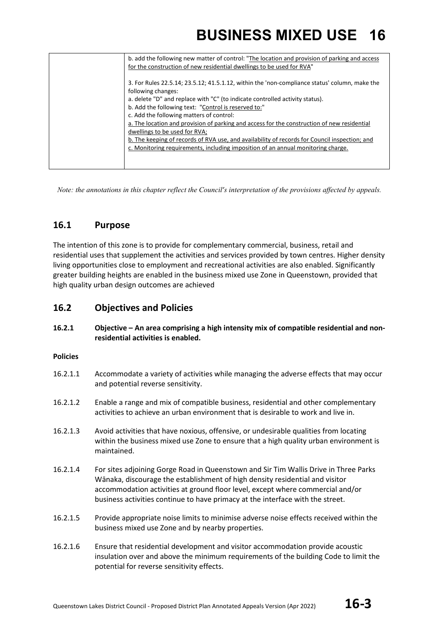| b. add the following new matter of control: "The location and provision of parking and access<br>for the construction of new residential dwellings to be used for RVA"                                                                                      |
|-------------------------------------------------------------------------------------------------------------------------------------------------------------------------------------------------------------------------------------------------------------|
| 3. For Rules 22.5.14; 23.5.12; 41.5.1.12, within the 'non-compliance status' column, make the<br>following changes:<br>a. delete "D" and replace with "C" (to indicate controlled activity status).<br>b. Add the following text: "Control is reserved to:" |
| c. Add the following matters of control:                                                                                                                                                                                                                    |
| a. The location and provision of parking and access for the construction of new residential<br>dwellings to be used for RVA;                                                                                                                                |
| b. The keeping of records of RVA use, and availability of records for Council inspection; and                                                                                                                                                               |
| c. Monitoring requirements, including imposition of an annual monitoring charge.                                                                                                                                                                            |
|                                                                                                                                                                                                                                                             |

*Note: the annotations in this chapter reflect the Council's interpretation of the provisions affected by appeals.*

#### **16.1 Purpose**

The intention of this zone is to provide for complementary commercial, business, retail and residential uses that supplement the activities and services provided by town centres. Higher density living opportunities close to employment and recreational activities are also enabled. Significantly greater building heights are enabled in the business mixed use Zone in Queenstown, provided that high quality urban design outcomes are achieved

#### **16.2 Objectives and Policies**

**16.2.1 Objective – An area comprising a high intensity mix of compatible residential and nonresidential activities is enabled.**

#### **Policies**

- 16.2.1.1 Accommodate a variety of activities while managing the adverse effects that may occur and potential reverse sensitivity.
- 16.2.1.2 Enable a range and mix of compatible business, residential and other complementary activities to achieve an urban environment that is desirable to work and live in.
- 16.2.1.3 Avoid activities that have noxious, offensive, or undesirable qualities from locating within the business mixed use Zone to ensure that a high quality urban environment is maintained.
- 16.2.1.4 For sites adjoining Gorge Road in Queenstown and Sir Tim Wallis Drive in Three Parks Wānaka, discourage the establishment of high density residential and visitor accommodation activities at ground floor level, except where commercial and/or business activities continue to have primacy at the interface with the street.
- 16.2.1.5 Provide appropriate noise limits to minimise adverse noise effects received within the business mixed use Zone and by nearby properties.
- 16.2.1.6 Ensure that residential development and visitor accommodation provide acoustic insulation over and above the minimum requirements of the building Code to limit the potential for reverse sensitivity effects.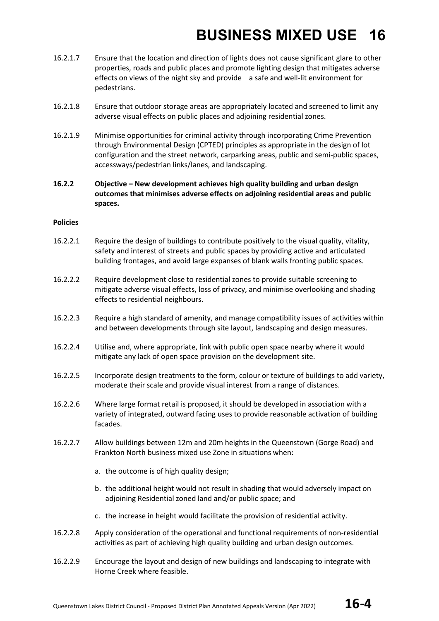- 16.2.1.7 Ensure that the location and direction of lights does not cause significant glare to other properties, roads and public places and promote lighting design that mitigates adverse effects on views of the night sky and provide a safe and well-lit environment for pedestrians.
- 16.2.1.8 Ensure that outdoor storage areas are appropriately located and screened to limit any adverse visual effects on public places and adjoining residential zones.
- 16.2.1.9 Minimise opportunities for criminal activity through incorporating Crime Prevention through Environmental Design (CPTED) principles as appropriate in the design of lot configuration and the street network, carparking areas, public and semi-public spaces, accessways/pedestrian links/lanes, and landscaping.
- **16.2.2 Objective – New development achieves high quality building and urban design outcomes that minimises adverse effects on adjoining residential areas and public spaces.**

#### **Policies**

- 16.2.2.1 Require the design of buildings to contribute positively to the visual quality, vitality, safety and interest of streets and public spaces by providing active and articulated building frontages, and avoid large expanses of blank walls fronting public spaces.
- 16.2.2.2 Require development close to residential zones to provide suitable screening to mitigate adverse visual effects, loss of privacy, and minimise overlooking and shading effects to residential neighbours.
- 16.2.2.3 Require a high standard of amenity, and manage compatibility issues of activities within and between developments through site layout, landscaping and design measures.
- 16.2.2.4 Utilise and, where appropriate, link with public open space nearby where it would mitigate any lack of open space provision on the development site.
- 16.2.2.5 Incorporate design treatments to the form, colour or texture of buildings to add variety, moderate their scale and provide visual interest from a range of distances.
- 16.2.2.6 Where large format retail is proposed, it should be developed in association with a variety of integrated, outward facing uses to provide reasonable activation of building facades.
- 16.2.2.7 Allow buildings between 12m and 20m heights in the Queenstown (Gorge Road) and Frankton North business mixed use Zone in situations when:
	- a. the outcome is of high quality design;
	- b. the additional height would not result in shading that would adversely impact on adjoining Residential zoned land and/or public space; and
	- c. the increase in height would facilitate the provision of residential activity.
- 16.2.2.8 Apply consideration of the operational and functional requirements of non-residential activities as part of achieving high quality building and urban design outcomes.
- 16.2.2.9 Encourage the layout and design of new buildings and landscaping to integrate with Horne Creek where feasible.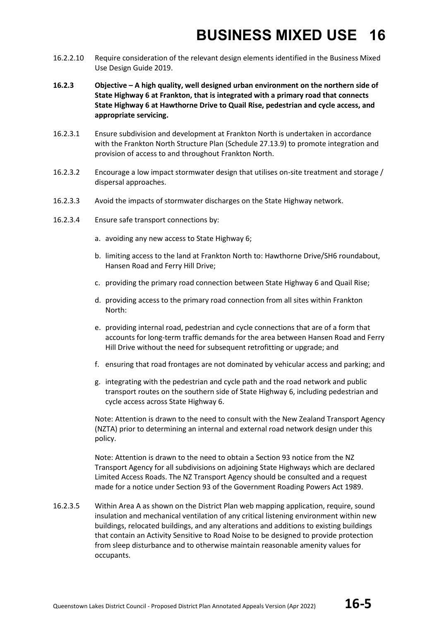- 16.2.2.10 Require consideration of the relevant design elements identified in the Business Mixed Use Design Guide 2019.
- **16.2.3 Objective – A high quality, well designed urban environment on the northern side of State Highway 6 at Frankton, that is integrated with a primary road that connects State Highway 6 at Hawthorne Drive to Quail Rise, pedestrian and cycle access, and appropriate servicing.**
- 16.2.3.1 Ensure subdivision and development at Frankton North is undertaken in accordance with the Frankton North Structure Plan (Schedule 27.13.9) to promote integration and provision of access to and throughout Frankton North.
- 16.2.3.2 Encourage a low impact stormwater design that utilises on-site treatment and storage / dispersal approaches.
- 16.2.3.3 Avoid the impacts of stormwater discharges on the State Highway network.
- 16.2.3.4 Ensure safe transport connections by:
	- a. avoiding any new access to State Highway 6;
	- b. limiting access to the land at Frankton North to: Hawthorne Drive/SH6 roundabout, Hansen Road and Ferry Hill Drive;
	- c. providing the primary road connection between State Highway 6 and Quail Rise;
	- d. providing access to the primary road connection from all sites within Frankton North:
	- e. providing internal road, pedestrian and cycle connections that are of a form that accounts for long-term traffic demands for the area between Hansen Road and Ferry Hill Drive without the need for subsequent retrofitting or upgrade; and
	- f. ensuring that road frontages are not dominated by vehicular access and parking; and
	- g. integrating with the pedestrian and cycle path and the road network and public transport routes on the southern side of State Highway 6, including pedestrian and cycle access across State Highway 6.

Note: Attention is drawn to the need to consult with the New Zealand Transport Agency (NZTA) prior to determining an internal and external road network design under this policy.

Note: Attention is drawn to the need to obtain a Section 93 notice from the NZ Transport Agency for all subdivisions on adjoining State Highways which are declared Limited Access Roads. The NZ Transport Agency should be consulted and a request made for a notice under Section 93 of the Government Roading Powers Act 1989.

16.2.3.5 Within Area A as shown on the District Plan web mapping application, require, sound insulation and mechanical ventilation of any critical listening environment within new buildings, relocated buildings, and any alterations and additions to existing buildings that contain an Activity Sensitive to Road Noise to be designed to provide protection from sleep disturbance and to otherwise maintain reasonable amenity values for occupants.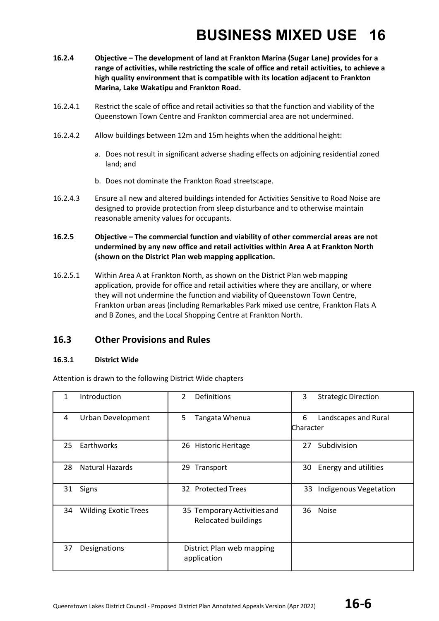- **16.2.4 Objective – The development of land at Frankton Marina (Sugar Lane) provides for a range of activities, while restricting the scale of office and retail activities, to achieve a high quality environment that is compatible with its location adjacent to Frankton Marina, Lake Wakatipu and Frankton Road.**
- 16.2.4.1 Restrict the scale of office and retail activities so that the function and viability of the Queenstown Town Centre and Frankton commercial area are not undermined.
- 16.2.4.2 Allow buildings between 12m and 15m heights when the additional height:
	- a. Does not result in significant adverse shading effects on adjoining residential zoned land; and
	- b. Does not dominate the Frankton Road streetscape.
- 16.2.4.3 Ensure all new and altered buildings intended for Activities Sensitive to Road Noise are designed to provide protection from sleep disturbance and to otherwise maintain reasonable amenity values for occupants.

#### **16.2.5 Objective – The commercial function and viability of other commercial areas are not undermined by any new office and retail activities within Area A at Frankton North (shown on the District Plan web mapping application.**

16.2.5.1 Within Area A at Frankton North, as shown on the District Plan web mapping application, provide for office and retail activities where they are ancillary, or where they will not undermine the function and viability of Queenstown Town Centre, Frankton urban areas (including Remarkables Park mixed use centre, Frankton Flats A and B Zones, and the Local Shopping Centre at Frankton North.

#### **16.3 Other Provisions and Rules**

#### **16.3.1 District Wide**

Attention is drawn to the following District Wide chapters

| $\mathbf{1}$ | Introduction                | $\mathcal{L}$<br>Definitions                              | 3<br><b>Strategic Direction</b>         |
|--------------|-----------------------------|-----------------------------------------------------------|-----------------------------------------|
| 4            | Urban Development           | 5<br>Tangata Whenua                                       | 6<br>Landscapes and Rural<br>lCharacter |
| 25           | Earthworks                  | 26 Historic Heritage                                      | Subdivision<br>27                       |
| 28           | <b>Natural Hazards</b>      | Transport<br>29                                           | Energy and utilities<br>30              |
| 31           | Signs                       | 32 Protected Trees                                        | Indigenous Vegetation<br>33             |
| 34           | <b>Wilding Exotic Trees</b> | 35 Temporary Activities and<br><b>Relocated buildings</b> | <b>Noise</b><br>36                      |
| 37           | Designations                | District Plan web mapping<br>application                  |                                         |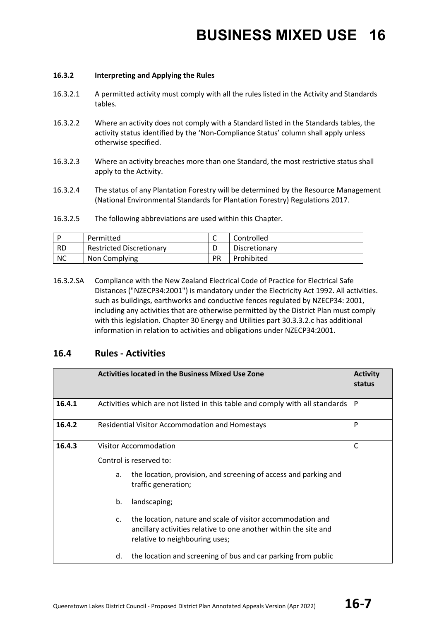#### **16.3.2 Interpreting and Applying the Rules**

- 16.3.2.1 A permitted activity must comply with all the rules listed in the Activity and Standards tables.
- 16.3.2.2 Where an activity does not comply with a Standard listed in the Standards tables, the activity status identified by the 'Non-Compliance Status' column shall apply unless otherwise specified.
- 16.3.2.3 Where an activity breaches more than one Standard, the most restrictive status shall apply to the Activity.
- 16.3.2.4 The status of any Plantation Forestry will be determined by the Resource Management (National Environmental Standards for Plantation Forestry) Regulations 2017.
- 16.3.2.5 The following abbreviations are used within this Chapter.

|           | Permitted                       | ∽         | Controlled    |
|-----------|---------------------------------|-----------|---------------|
| -RD       | <b>Restricted Discretionary</b> |           | Discretionary |
| <b>NC</b> | Non Complying                   | <b>PR</b> | Prohibited    |

16.3.2.SA Compliance with the New Zealand Electrical Code of Practice for Electrical Safe Distances ("NZECP34:2001") is mandatory under the Electricity Act 1992. All activities. such as buildings, earthworks and conductive fences regulated by NZECP34: 2001, including any activities that are otherwise permitted by the District Plan must comply with this legislation. Chapter 30 Energy and Utilities part 30.3.3.2.c has additional information in relation to activities and obligations under NZECP34:2001.

#### **16.4 Rules - Activities**

|        | <b>Activities located in the Business Mixed Use Zone</b>                    |                                                                                                                                                                   |   |  |
|--------|-----------------------------------------------------------------------------|-------------------------------------------------------------------------------------------------------------------------------------------------------------------|---|--|
| 16.4.1 | Activities which are not listed in this table and comply with all standards |                                                                                                                                                                   |   |  |
| 16.4.2 | <b>Residential Visitor Accommodation and Homestays</b>                      |                                                                                                                                                                   | P |  |
| 16.4.3 | Visitor Accommodation                                                       |                                                                                                                                                                   | C |  |
|        | Control is reserved to:                                                     |                                                                                                                                                                   |   |  |
|        | a.                                                                          | the location, provision, and screening of access and parking and<br>traffic generation;                                                                           |   |  |
|        | b.                                                                          | landscaping;                                                                                                                                                      |   |  |
|        | $\mathsf{C}$ .                                                              | the location, nature and scale of visitor accommodation and<br>ancillary activities relative to one another within the site and<br>relative to neighbouring uses; |   |  |
|        | d.                                                                          | the location and screening of bus and car parking from public                                                                                                     |   |  |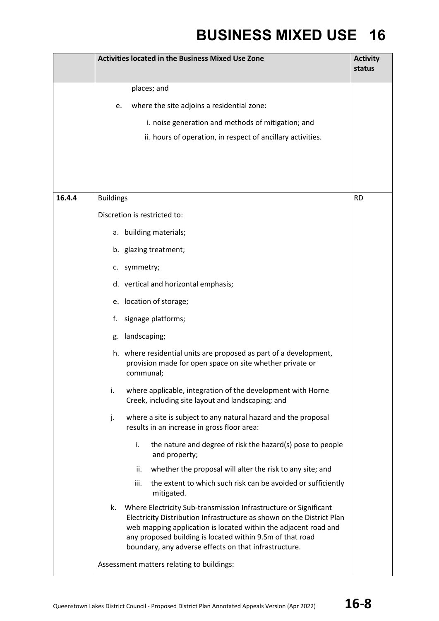|        | <b>Activities located in the Business Mixed Use Zone</b>                                                                                                                                                                                                                                                                                 | <b>Activity</b><br>status |
|--------|------------------------------------------------------------------------------------------------------------------------------------------------------------------------------------------------------------------------------------------------------------------------------------------------------------------------------------------|---------------------------|
|        | places; and                                                                                                                                                                                                                                                                                                                              |                           |
|        | where the site adjoins a residential zone:<br>e.                                                                                                                                                                                                                                                                                         |                           |
|        | i. noise generation and methods of mitigation; and                                                                                                                                                                                                                                                                                       |                           |
|        | ii. hours of operation, in respect of ancillary activities.                                                                                                                                                                                                                                                                              |                           |
|        |                                                                                                                                                                                                                                                                                                                                          |                           |
|        |                                                                                                                                                                                                                                                                                                                                          |                           |
| 16.4.4 | <b>Buildings</b>                                                                                                                                                                                                                                                                                                                         | <b>RD</b>                 |
|        | Discretion is restricted to:                                                                                                                                                                                                                                                                                                             |                           |
|        | a. building materials;                                                                                                                                                                                                                                                                                                                   |                           |
|        | b. glazing treatment;                                                                                                                                                                                                                                                                                                                    |                           |
|        | c. symmetry;                                                                                                                                                                                                                                                                                                                             |                           |
|        | d. vertical and horizontal emphasis;                                                                                                                                                                                                                                                                                                     |                           |
|        | e. location of storage;                                                                                                                                                                                                                                                                                                                  |                           |
|        | signage platforms;<br>f.                                                                                                                                                                                                                                                                                                                 |                           |
|        | landscaping;<br>g.                                                                                                                                                                                                                                                                                                                       |                           |
|        | h. where residential units are proposed as part of a development,<br>provision made for open space on site whether private or<br>communal;                                                                                                                                                                                               |                           |
|        | i.<br>where applicable, integration of the development with Horne<br>Creek, including site layout and landscaping; and                                                                                                                                                                                                                   |                           |
|        | where a site is subject to any natural hazard and the proposal<br>j.<br>results in an increase in gross floor area:                                                                                                                                                                                                                      |                           |
|        | i.<br>the nature and degree of risk the hazard(s) pose to people<br>and property;                                                                                                                                                                                                                                                        |                           |
|        | whether the proposal will alter the risk to any site; and<br>ii.                                                                                                                                                                                                                                                                         |                           |
|        | iii.<br>the extent to which such risk can be avoided or sufficiently<br>mitigated.                                                                                                                                                                                                                                                       |                           |
|        | k.<br>Where Electricity Sub-transmission Infrastructure or Significant<br>Electricity Distribution Infrastructure as shown on the District Plan<br>web mapping application is located within the adjacent road and<br>any proposed building is located within 9.Sm of that road<br>boundary, any adverse effects on that infrastructure. |                           |
|        | Assessment matters relating to buildings:                                                                                                                                                                                                                                                                                                |                           |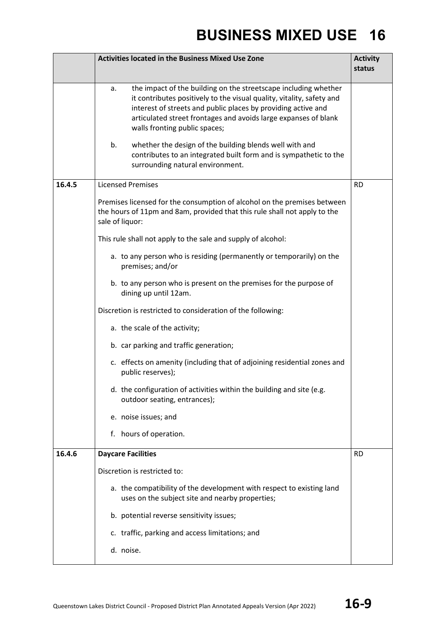|        | <b>Activities located in the Business Mixed Use Zone</b>                                                                                                                                                                                                                                                            | <b>Activity</b><br>status |
|--------|---------------------------------------------------------------------------------------------------------------------------------------------------------------------------------------------------------------------------------------------------------------------------------------------------------------------|---------------------------|
|        | the impact of the building on the streetscape including whether<br>a.<br>it contributes positively to the visual quality, vitality, safety and<br>interest of streets and public places by providing active and<br>articulated street frontages and avoids large expanses of blank<br>walls fronting public spaces; |                           |
|        | b.<br>whether the design of the building blends well with and<br>contributes to an integrated built form and is sympathetic to the<br>surrounding natural environment.                                                                                                                                              |                           |
| 16.4.5 | <b>Licensed Premises</b>                                                                                                                                                                                                                                                                                            | <b>RD</b>                 |
|        | Premises licensed for the consumption of alcohol on the premises between<br>the hours of 11pm and 8am, provided that this rule shall not apply to the<br>sale of liquor:                                                                                                                                            |                           |
|        | This rule shall not apply to the sale and supply of alcohol:                                                                                                                                                                                                                                                        |                           |
|        | a. to any person who is residing (permanently or temporarily) on the<br>premises; and/or                                                                                                                                                                                                                            |                           |
|        | b. to any person who is present on the premises for the purpose of<br>dining up until 12am.                                                                                                                                                                                                                         |                           |
|        | Discretion is restricted to consideration of the following:                                                                                                                                                                                                                                                         |                           |
|        | a. the scale of the activity;                                                                                                                                                                                                                                                                                       |                           |
|        | b. car parking and traffic generation;                                                                                                                                                                                                                                                                              |                           |
|        | c. effects on amenity (including that of adjoining residential zones and<br>public reserves);                                                                                                                                                                                                                       |                           |
|        | d. the configuration of activities within the building and site (e.g.<br>outdoor seating, entrances);                                                                                                                                                                                                               |                           |
|        | e. noise issues; and                                                                                                                                                                                                                                                                                                |                           |
|        | f. hours of operation.                                                                                                                                                                                                                                                                                              |                           |
| 16.4.6 | <b>Daycare Facilities</b>                                                                                                                                                                                                                                                                                           | <b>RD</b>                 |
|        | Discretion is restricted to:                                                                                                                                                                                                                                                                                        |                           |
|        | a. the compatibility of the development with respect to existing land<br>uses on the subject site and nearby properties;                                                                                                                                                                                            |                           |
|        | b. potential reverse sensitivity issues;                                                                                                                                                                                                                                                                            |                           |
|        | c. traffic, parking and access limitations; and                                                                                                                                                                                                                                                                     |                           |
|        | d. noise.                                                                                                                                                                                                                                                                                                           |                           |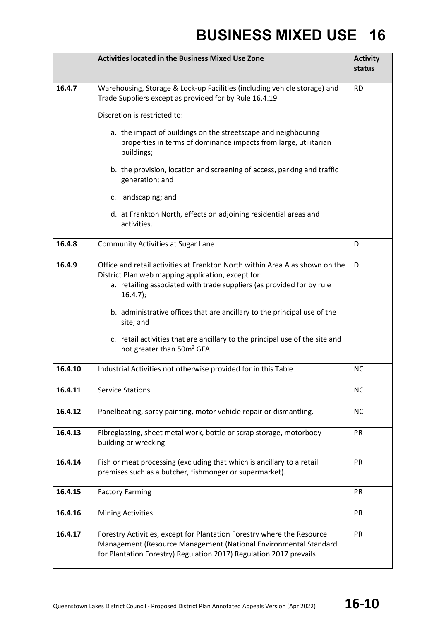|         | <b>Activities located in the Business Mixed Use Zone</b>                                                                                                                                                                                                                                                                                                                                            |           |  |
|---------|-----------------------------------------------------------------------------------------------------------------------------------------------------------------------------------------------------------------------------------------------------------------------------------------------------------------------------------------------------------------------------------------------------|-----------|--|
| 16.4.7  | Warehousing, Storage & Lock-up Facilities (including vehicle storage) and<br>Trade Suppliers except as provided for by Rule 16.4.19                                                                                                                                                                                                                                                                 |           |  |
|         | Discretion is restricted to:                                                                                                                                                                                                                                                                                                                                                                        |           |  |
|         | a. the impact of buildings on the streetscape and neighbouring<br>properties in terms of dominance impacts from large, utilitarian<br>buildings;                                                                                                                                                                                                                                                    |           |  |
|         | b. the provision, location and screening of access, parking and traffic<br>generation; and                                                                                                                                                                                                                                                                                                          |           |  |
|         | c. landscaping; and                                                                                                                                                                                                                                                                                                                                                                                 |           |  |
|         | d. at Frankton North, effects on adjoining residential areas and<br>activities.                                                                                                                                                                                                                                                                                                                     |           |  |
| 16.4.8  | <b>Community Activities at Sugar Lane</b>                                                                                                                                                                                                                                                                                                                                                           | D         |  |
| 16.4.9  | Office and retail activities at Frankton North within Area A as shown on the<br>District Plan web mapping application, except for:<br>a. retailing associated with trade suppliers (as provided for by rule<br>$16.4.7$ );<br>b. administrative offices that are ancillary to the principal use of the<br>site; and<br>c. retail activities that are ancillary to the principal use of the site and | D         |  |
|         | not greater than 50m <sup>2</sup> GFA.                                                                                                                                                                                                                                                                                                                                                              |           |  |
| 16.4.10 | Industrial Activities not otherwise provided for in this Table                                                                                                                                                                                                                                                                                                                                      | <b>NC</b> |  |
| 16.4.11 | <b>Service Stations</b>                                                                                                                                                                                                                                                                                                                                                                             | NC.       |  |
| 16.4.12 | Panelbeating, spray painting, motor vehicle repair or dismantling.                                                                                                                                                                                                                                                                                                                                  | <b>NC</b> |  |
| 16.4.13 | Fibreglassing, sheet metal work, bottle or scrap storage, motorbody<br>building or wrecking.                                                                                                                                                                                                                                                                                                        |           |  |
| 16.4.14 | Fish or meat processing (excluding that which is ancillary to a retail<br>premises such as a butcher, fishmonger or supermarket).                                                                                                                                                                                                                                                                   |           |  |
| 16.4.15 | <b>Factory Farming</b>                                                                                                                                                                                                                                                                                                                                                                              | <b>PR</b> |  |
| 16.4.16 | <b>Mining Activities</b>                                                                                                                                                                                                                                                                                                                                                                            | <b>PR</b> |  |
| 16.4.17 | Forestry Activities, except for Plantation Forestry where the Resource<br>Management (Resource Management (National Environmental Standard<br>for Plantation Forestry) Regulation 2017) Regulation 2017 prevails.                                                                                                                                                                                   | <b>PR</b> |  |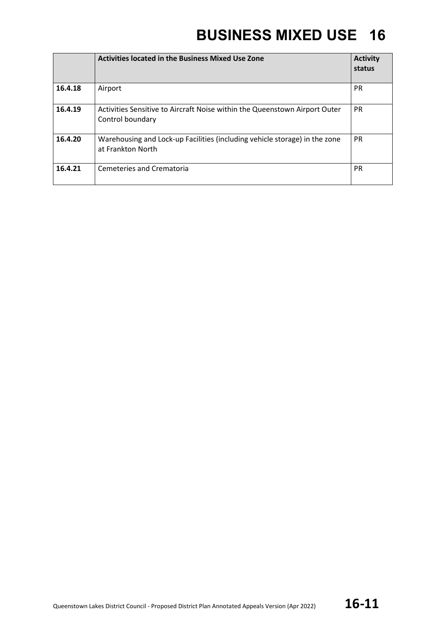|         | <b>Activities located in the Business Mixed Use Zone</b>                                        | <b>Activity</b><br>status |
|---------|-------------------------------------------------------------------------------------------------|---------------------------|
| 16.4.18 | Airport                                                                                         | <b>PR</b>                 |
| 16.4.19 | Activities Sensitive to Aircraft Noise within the Queenstown Airport Outer<br>Control boundary  | <b>PR</b>                 |
| 16.4.20 | Warehousing and Lock-up Facilities (including vehicle storage) in the zone<br>at Frankton North | <b>PR</b>                 |
| 16.4.21 | Cemeteries and Crematoria                                                                       | <b>PR</b>                 |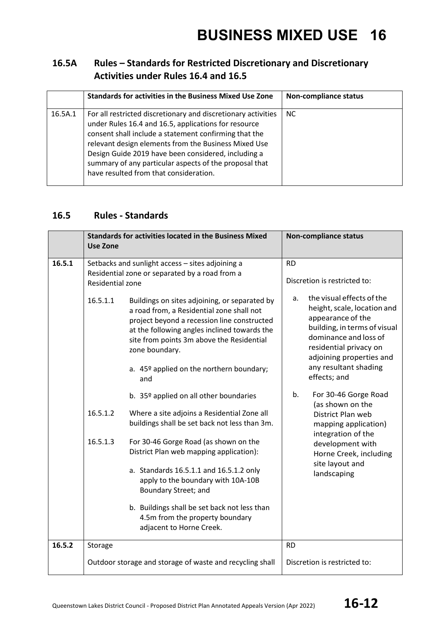#### **16.5A Rules – Standards for Restricted Discretionary and Discretionary Activities under Rules 16.4 and 16.5**

|         | <b>Standards for activities in the Business Mixed Use Zone</b>                                                                                                                                                                                                                                                                                                                                    | <b>Non-compliance status</b> |
|---------|---------------------------------------------------------------------------------------------------------------------------------------------------------------------------------------------------------------------------------------------------------------------------------------------------------------------------------------------------------------------------------------------------|------------------------------|
| 16.5A.1 | For all restricted discretionary and discretionary activities<br>under Rules 16.4 and 16.5, applications for resource<br>consent shall include a statement confirming that the<br>relevant design elements from the Business Mixed Use<br>Design Guide 2019 have been considered, including a<br>summary of any particular aspects of the proposal that<br>have resulted from that consideration. | NC.                          |

#### **16.5 Rules - Standards**

|        | <b>Use Zone</b>              | <b>Standards for activities located in the Business Mixed</b>                                                                                                                                           |                              | <b>Non-compliance status</b>                                                                                                                                    |  |
|--------|------------------------------|---------------------------------------------------------------------------------------------------------------------------------------------------------------------------------------------------------|------------------------------|-----------------------------------------------------------------------------------------------------------------------------------------------------------------|--|
| 16.5.1 | Residential zone<br>16.5.1.1 | Setbacks and sunlight access - sites adjoining a<br>Residential zone or separated by a road from a<br>Buildings on sites adjoining, or separated by                                                     | <b>RD</b><br>a.              | Discretion is restricted to:<br>the visual effects of the                                                                                                       |  |
|        |                              | a road from, a Residential zone shall not<br>project beyond a recession line constructed<br>at the following angles inclined towards the<br>site from points 3m above the Residential<br>zone boundary. |                              | height, scale, location and<br>appearance of the<br>building, in terms of visual<br>dominance and loss of<br>residential privacy on<br>adjoining properties and |  |
|        |                              | a. 45º applied on the northern boundary;<br>and                                                                                                                                                         |                              | any resultant shading<br>effects; and                                                                                                                           |  |
|        |                              | b. 35º applied on all other boundaries                                                                                                                                                                  | b.                           | For 30-46 Gorge Road<br>(as shown on the                                                                                                                        |  |
|        | 16.5.1.2                     | Where a site adjoins a Residential Zone all<br>buildings shall be set back not less than 3m.                                                                                                            |                              | District Plan web<br>mapping application)<br>integration of the                                                                                                 |  |
|        | 16.5.1.3                     | For 30-46 Gorge Road (as shown on the<br>District Plan web mapping application):                                                                                                                        |                              | development with<br>Horne Creek, including<br>site layout and                                                                                                   |  |
|        |                              | a. Standards 16.5.1.1 and 16.5.1.2 only<br>apply to the boundary with 10A-10B<br>Boundary Street; and                                                                                                   |                              | landscaping                                                                                                                                                     |  |
|        |                              | b. Buildings shall be set back not less than<br>4.5m from the property boundary<br>adjacent to Horne Creek.                                                                                             |                              |                                                                                                                                                                 |  |
| 16.5.2 | Storage                      |                                                                                                                                                                                                         | <b>RD</b>                    |                                                                                                                                                                 |  |
|        |                              | Outdoor storage and storage of waste and recycling shall                                                                                                                                                | Discretion is restricted to: |                                                                                                                                                                 |  |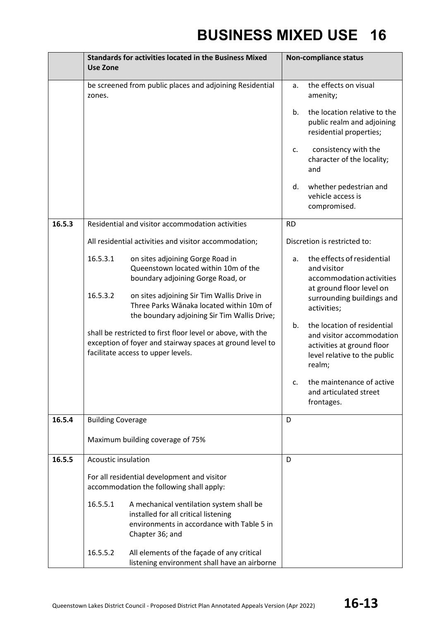|        | <b>Standards for activities located in the Business Mixed</b><br><b>Use Zone</b>        |                                                                                                                                                                | <b>Non-compliance status</b> |                                                                                                                                  |
|--------|-----------------------------------------------------------------------------------------|----------------------------------------------------------------------------------------------------------------------------------------------------------------|------------------------------|----------------------------------------------------------------------------------------------------------------------------------|
|        | be screened from public places and adjoining Residential<br>zones.                      |                                                                                                                                                                | a.                           | the effects on visual<br>amenity;                                                                                                |
|        |                                                                                         |                                                                                                                                                                | b.                           | the location relative to the<br>public realm and adjoining<br>residential properties;                                            |
|        |                                                                                         |                                                                                                                                                                | c.                           | consistency with the<br>character of the locality;<br>and                                                                        |
|        |                                                                                         |                                                                                                                                                                | d.                           | whether pedestrian and<br>vehicle access is<br>compromised.                                                                      |
| 16.5.3 |                                                                                         | Residential and visitor accommodation activities                                                                                                               | <b>RD</b>                    |                                                                                                                                  |
|        |                                                                                         | All residential activities and visitor accommodation;                                                                                                          |                              | Discretion is restricted to:                                                                                                     |
|        | 16.5.3.1                                                                                | on sites adjoining Gorge Road in<br>Queenstown located within 10m of the<br>boundary adjoining Gorge Road, or                                                  | a.                           | the effects of residential<br>and visitor<br>accommodation activities<br>at ground floor level on                                |
|        | 16.5.3.2                                                                                | on sites adjoining Sir Tim Wallis Drive in<br>Three Parks Wānaka located within 10m of<br>the boundary adjoining Sir Tim Wallis Drive;                         |                              | surrounding buildings and<br>activities;                                                                                         |
|        |                                                                                         | shall be restricted to first floor level or above, with the<br>exception of foyer and stairway spaces at ground level to<br>facilitate access to upper levels. | b.                           | the location of residential<br>and visitor accommodation<br>activities at ground floor<br>level relative to the public<br>realm; |
|        |                                                                                         |                                                                                                                                                                | c.                           | the maintenance of active<br>and articulated street<br>frontages.                                                                |
| 16.5.4 | <b>Building Coverage</b>                                                                |                                                                                                                                                                | D                            |                                                                                                                                  |
|        |                                                                                         | Maximum building coverage of 75%                                                                                                                               |                              |                                                                                                                                  |
| 16.5.5 | <b>Acoustic insulation</b>                                                              |                                                                                                                                                                | D                            |                                                                                                                                  |
|        | For all residential development and visitor<br>accommodation the following shall apply: |                                                                                                                                                                |                              |                                                                                                                                  |
|        | 16.5.5.1                                                                                | A mechanical ventilation system shall be<br>installed for all critical listening<br>environments in accordance with Table 5 in<br>Chapter 36; and              |                              |                                                                                                                                  |
|        | 16.5.5.2                                                                                | All elements of the façade of any critical<br>listening environment shall have an airborne                                                                     |                              |                                                                                                                                  |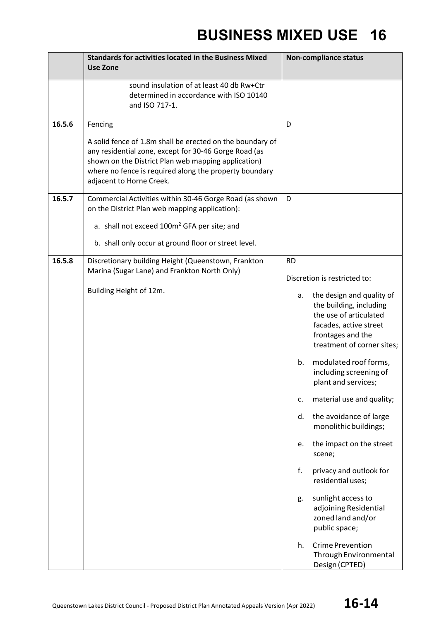|                  | <b>Standards for activities located in the Business Mixed</b><br><b>Use Zone</b>                                                                                                                                                                                                                                                                                                        | <b>Non-compliance status</b>                                                                                                                                                                                                                                                                                                                                                                                                                                                                                                                                                                                                                                        |
|------------------|-----------------------------------------------------------------------------------------------------------------------------------------------------------------------------------------------------------------------------------------------------------------------------------------------------------------------------------------------------------------------------------------|---------------------------------------------------------------------------------------------------------------------------------------------------------------------------------------------------------------------------------------------------------------------------------------------------------------------------------------------------------------------------------------------------------------------------------------------------------------------------------------------------------------------------------------------------------------------------------------------------------------------------------------------------------------------|
|                  | sound insulation of at least 40 db Rw+Ctr<br>determined in accordance with ISO 10140<br>and ISO 717-1.                                                                                                                                                                                                                                                                                  |                                                                                                                                                                                                                                                                                                                                                                                                                                                                                                                                                                                                                                                                     |
| 16.5.6<br>16.5.7 | Fencing<br>A solid fence of 1.8m shall be erected on the boundary of<br>any residential zone, except for 30-46 Gorge Road (as<br>shown on the District Plan web mapping application)<br>where no fence is required along the property boundary<br>adjacent to Horne Creek.<br>Commercial Activities within 30-46 Gorge Road (as shown<br>on the District Plan web mapping application): | D<br>D                                                                                                                                                                                                                                                                                                                                                                                                                                                                                                                                                                                                                                                              |
|                  | a. shall not exceed 100m <sup>2</sup> GFA per site; and<br>b. shall only occur at ground floor or street level.                                                                                                                                                                                                                                                                         |                                                                                                                                                                                                                                                                                                                                                                                                                                                                                                                                                                                                                                                                     |
| 16.5.8           | Discretionary building Height (Queenstown, Frankton<br>Marina (Sugar Lane) and Frankton North Only)<br>Building Height of 12m.                                                                                                                                                                                                                                                          | <b>RD</b><br>Discretion is restricted to:<br>the design and quality of<br>а.<br>the building, including<br>the use of articulated<br>facades, active street<br>frontages and the<br>treatment of corner sites;<br>modulated roof forms,<br>b.<br>including screening of<br>plant and services;<br>material use and quality;<br>c.<br>the avoidance of large<br>d.<br>monolithic buildings;<br>the impact on the street<br>e.<br>scene;<br>f.<br>privacy and outlook for<br>residential uses;<br>sunlight access to<br>g.<br>adjoining Residential<br>zoned land and/or<br>public space;<br><b>Crime Prevention</b><br>h.<br>Through Environmental<br>Design (CPTED) |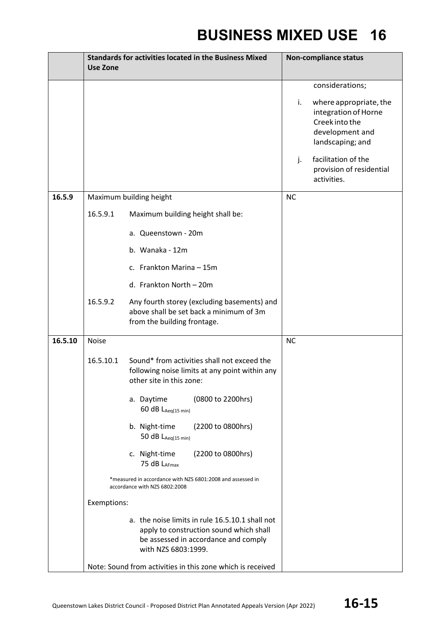|         | <b>Use Zone</b>                                            | <b>Standards for activities located in the Business Mixed</b>                                                                                             | <b>Non-compliance status</b>                                                                                  |
|---------|------------------------------------------------------------|-----------------------------------------------------------------------------------------------------------------------------------------------------------|---------------------------------------------------------------------------------------------------------------|
|         |                                                            |                                                                                                                                                           | considerations;                                                                                               |
|         |                                                            |                                                                                                                                                           | where appropriate, the<br>i.<br>integration of Horne<br>Creek into the<br>development and<br>landscaping; and |
|         |                                                            |                                                                                                                                                           | facilitation of the<br>$\mathbf{i}$ .<br>provision of residential<br>activities.                              |
| 16.5.9  |                                                            | Maximum building height                                                                                                                                   | <b>NC</b>                                                                                                     |
|         | 16.5.9.1                                                   | Maximum building height shall be:                                                                                                                         |                                                                                                               |
|         |                                                            | a. Queenstown - 20m                                                                                                                                       |                                                                                                               |
|         |                                                            | b. Wanaka - 12m                                                                                                                                           |                                                                                                               |
|         |                                                            | c. Frankton Marina - 15m                                                                                                                                  |                                                                                                               |
|         |                                                            | d. Frankton North - 20m                                                                                                                                   |                                                                                                               |
|         | 16.5.9.2                                                   | Any fourth storey (excluding basements) and<br>above shall be set back a minimum of 3m<br>from the building frontage.                                     |                                                                                                               |
| 16.5.10 | <b>Noise</b>                                               |                                                                                                                                                           | <b>NC</b>                                                                                                     |
|         | 16.5.10.1                                                  | Sound* from activities shall not exceed the<br>following noise limits at any point within any<br>other site in this zone:                                 |                                                                                                               |
|         |                                                            | (0800 to 2200hrs)<br>a. Daytime<br>60 dB LAeq(15 min)                                                                                                     |                                                                                                               |
|         |                                                            | b. Night-time<br>(2200 to 0800hrs)<br>50 $dB$ L <sub>Aeq(15 min)</sub>                                                                                    |                                                                                                               |
|         |                                                            | (2200 to 0800hrs)<br>c. Night-time<br>75 dB LAFmax                                                                                                        |                                                                                                               |
|         |                                                            | *measured in accordance with NZS 6801:2008 and assessed in<br>accordance with NZS 6802:2008                                                               |                                                                                                               |
|         | Exemptions:                                                |                                                                                                                                                           |                                                                                                               |
|         |                                                            | a. the noise limits in rule 16.5.10.1 shall not<br>apply to construction sound which shall<br>be assessed in accordance and comply<br>with NZS 6803:1999. |                                                                                                               |
|         | Note: Sound from activities in this zone which is received |                                                                                                                                                           |                                                                                                               |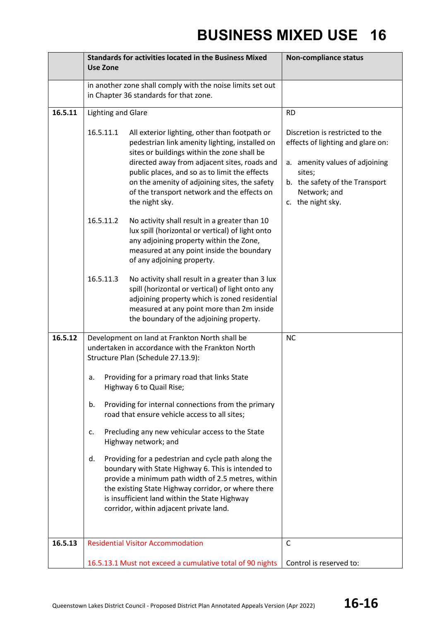|         | <b>Use Zone</b>                                                                                            | <b>Standards for activities located in the Business Mixed</b>                                                                                                                                                                                                                                                                                                     | <b>Non-compliance status</b>                                                                                                                                                            |
|---------|------------------------------------------------------------------------------------------------------------|-------------------------------------------------------------------------------------------------------------------------------------------------------------------------------------------------------------------------------------------------------------------------------------------------------------------------------------------------------------------|-----------------------------------------------------------------------------------------------------------------------------------------------------------------------------------------|
|         | in another zone shall comply with the noise limits set out<br>in Chapter 36 standards for that zone.       |                                                                                                                                                                                                                                                                                                                                                                   |                                                                                                                                                                                         |
| 16.5.11 | <b>Lighting and Glare</b>                                                                                  |                                                                                                                                                                                                                                                                                                                                                                   | <b>RD</b>                                                                                                                                                                               |
|         | 16.5.11.1                                                                                                  | All exterior lighting, other than footpath or<br>pedestrian link amenity lighting, installed on<br>sites or buildings within the zone shall be<br>directed away from adjacent sites, roads and<br>public places, and so as to limit the effects<br>on the amenity of adjoining sites, the safety<br>of the transport network and the effects on<br>the night sky. | Discretion is restricted to the<br>effects of lighting and glare on:<br>a. amenity values of adjoining<br>sites;<br>b. the safety of the Transport<br>Network; and<br>c. the night sky. |
|         | 16.5.11.2                                                                                                  | No activity shall result in a greater than 10<br>lux spill (horizontal or vertical) of light onto<br>any adjoining property within the Zone,<br>measured at any point inside the boundary<br>of any adjoining property.                                                                                                                                           |                                                                                                                                                                                         |
|         | 16.5.11.3                                                                                                  | No activity shall result in a greater than 3 lux<br>spill (horizontal or vertical) of light onto any<br>adjoining property which is zoned residential<br>measured at any point more than 2m inside<br>the boundary of the adjoining property.                                                                                                                     |                                                                                                                                                                                         |
| 16.5.12 |                                                                                                            | Development on land at Frankton North shall be<br>undertaken in accordance with the Frankton North<br>Structure Plan (Schedule 27.13.9):                                                                                                                                                                                                                          | <b>NC</b>                                                                                                                                                                               |
|         | Providing for a primary road that links State<br>a.<br>Highway 6 to Quail Rise;                            |                                                                                                                                                                                                                                                                                                                                                                   |                                                                                                                                                                                         |
|         | Providing for internal connections from the primary<br>b.<br>road that ensure vehicle access to all sites; |                                                                                                                                                                                                                                                                                                                                                                   |                                                                                                                                                                                         |
|         | c.                                                                                                         | Precluding any new vehicular access to the State<br>Highway network; and                                                                                                                                                                                                                                                                                          |                                                                                                                                                                                         |
|         | d.                                                                                                         | Providing for a pedestrian and cycle path along the<br>boundary with State Highway 6. This is intended to<br>provide a minimum path width of 2.5 metres, within<br>the existing State Highway corridor, or where there<br>is insufficient land within the State Highway<br>corridor, within adjacent private land.                                                |                                                                                                                                                                                         |
| 16.5.13 |                                                                                                            | <b>Residential Visitor Accommodation</b>                                                                                                                                                                                                                                                                                                                          | C                                                                                                                                                                                       |
|         |                                                                                                            | 16.5.13.1 Must not exceed a cumulative total of 90 nights                                                                                                                                                                                                                                                                                                         | Control is reserved to:                                                                                                                                                                 |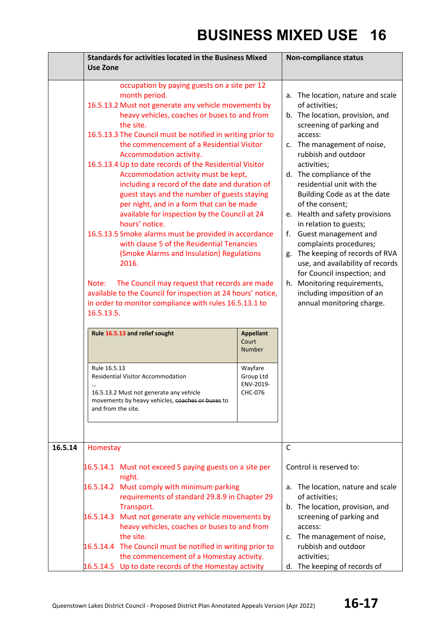|         | <b>Standards for activities located in the Business Mixed</b><br><b>Use Zone</b>                                                                                                                                                                                                                                                                                                                                                                                                                                                                                                                                                                                                                                                                                                                                                                                                                                                                                                                                                                                                                                        |                                                                    | <b>Non-compliance status</b>                                                                                                                                                                                                                                                                                                                                                                                                                                                                                                                                                                                                            |  |
|---------|-------------------------------------------------------------------------------------------------------------------------------------------------------------------------------------------------------------------------------------------------------------------------------------------------------------------------------------------------------------------------------------------------------------------------------------------------------------------------------------------------------------------------------------------------------------------------------------------------------------------------------------------------------------------------------------------------------------------------------------------------------------------------------------------------------------------------------------------------------------------------------------------------------------------------------------------------------------------------------------------------------------------------------------------------------------------------------------------------------------------------|--------------------------------------------------------------------|-----------------------------------------------------------------------------------------------------------------------------------------------------------------------------------------------------------------------------------------------------------------------------------------------------------------------------------------------------------------------------------------------------------------------------------------------------------------------------------------------------------------------------------------------------------------------------------------------------------------------------------------|--|
|         | occupation by paying guests on a site per 12<br>month period.<br>16.5.13.2 Must not generate any vehicle movements by<br>heavy vehicles, coaches or buses to and from<br>the site.<br>16.5.13.3 The Council must be notified in writing prior to<br>the commencement of a Residential Visitor<br>Accommodation activity.<br>16.5.13.4 Up to date records of the Residential Visitor<br>Accommodation activity must be kept,<br>including a record of the date and duration of<br>guest stays and the number of guests staying<br>per night, and in a form that can be made<br>available for inspection by the Council at 24<br>hours' notice.<br>16.5.13.5 Smoke alarms must be provided in accordance<br>with clause 5 of the Residential Tenancies<br>(Smoke Alarms and Insulation) Regulations<br>2016.<br>The Council may request that records are made<br>Note:<br>available to the Council for inspection at 24 hours' notice,<br>in order to monitor compliance with rules 16.5.13.1 to<br>16.5.13.5.<br>Rule 16.5.13 and relief sought<br><b>Appellant</b><br>Court<br><b>Number</b><br>Rule 16.5.13<br>Wayfare |                                                                    | a. The location, nature and scale<br>of activities;<br>b. The location, provision, and<br>screening of parking and<br>access:<br>c. The management of noise,<br>rubbish and outdoor<br>activities;<br>d. The compliance of the<br>residential unit with the<br>Building Code as at the date<br>of the consent;<br>e. Health and safety provisions<br>in relation to guests;<br>Guest management and<br>f.<br>complaints procedures;<br>g. The keeping of records of RVA<br>use, and availability of records<br>for Council inspection; and<br>Monitoring requirements,<br>h.<br>including imposition of an<br>annual monitoring charge. |  |
|         | 16.5.13.2 Must not generate any vehicle<br>movements by heavy vehicles, coaches or buses to<br>and from the site.                                                                                                                                                                                                                                                                                                                                                                                                                                                                                                                                                                                                                                                                                                                                                                                                                                                                                                                                                                                                       | CHC-076                                                            |                                                                                                                                                                                                                                                                                                                                                                                                                                                                                                                                                                                                                                         |  |
| 16.5.14 | Homestay                                                                                                                                                                                                                                                                                                                                                                                                                                                                                                                                                                                                                                                                                                                                                                                                                                                                                                                                                                                                                                                                                                                | $\mathsf{C}$                                                       |                                                                                                                                                                                                                                                                                                                                                                                                                                                                                                                                                                                                                                         |  |
|         | 16.5.14.1 Must not exceed 5 paying guests on a site per<br>night.<br>16.5.14.2 Must comply with minimum parking<br>requirements of standard 29.8.9 in Chapter 29<br>Transport.                                                                                                                                                                                                                                                                                                                                                                                                                                                                                                                                                                                                                                                                                                                                                                                                                                                                                                                                          |                                                                    | Control is reserved to:<br>a. The location, nature and scale<br>of activities;<br>b. The location, provision, and                                                                                                                                                                                                                                                                                                                                                                                                                                                                                                                       |  |
|         | 16.5.14.3 Must not generate any vehicle movements by<br>heavy vehicles, coaches or buses to and from<br>the site.                                                                                                                                                                                                                                                                                                                                                                                                                                                                                                                                                                                                                                                                                                                                                                                                                                                                                                                                                                                                       |                                                                    | screening of parking and<br>access:<br>c. The management of noise,                                                                                                                                                                                                                                                                                                                                                                                                                                                                                                                                                                      |  |
|         | 16.5.14.4 The Council must be notified in writing prior to<br>the commencement of a Homestay activity.<br>16.5.14.5 Up to date records of the Homestay activity                                                                                                                                                                                                                                                                                                                                                                                                                                                                                                                                                                                                                                                                                                                                                                                                                                                                                                                                                         | rubbish and outdoor<br>activities;<br>d. The keeping of records of |                                                                                                                                                                                                                                                                                                                                                                                                                                                                                                                                                                                                                                         |  |
|         |                                                                                                                                                                                                                                                                                                                                                                                                                                                                                                                                                                                                                                                                                                                                                                                                                                                                                                                                                                                                                                                                                                                         |                                                                    |                                                                                                                                                                                                                                                                                                                                                                                                                                                                                                                                                                                                                                         |  |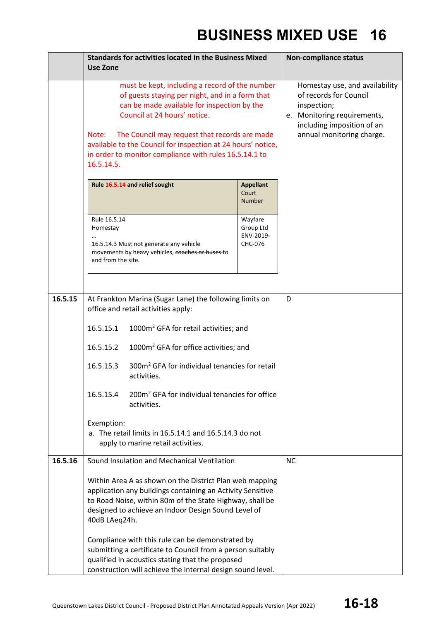|         | <b>Standards for activities located in the Business Mixed</b><br>Use Zone                                                                                                                                                                                                                                                                                                          |                                              | <b>Non-compliance status</b>                                                                                                                                      |
|---------|------------------------------------------------------------------------------------------------------------------------------------------------------------------------------------------------------------------------------------------------------------------------------------------------------------------------------------------------------------------------------------|----------------------------------------------|-------------------------------------------------------------------------------------------------------------------------------------------------------------------|
|         | must be kept, including a record of the number<br>of guests staying per night, and in a form that<br>can be made available for inspection by the<br>Council at 24 hours' notice.<br>Note:<br>The Council may request that records are made<br>available to the Council for inspection at 24 hours' notice,<br>in order to monitor compliance with rules 16.5.14.1 to<br>16.5.14.5. |                                              | Homestay use, and availability<br>of records for Council<br>inspection;<br>e. Monitoring requirements,<br>including imposition of an<br>annual monitoring charge. |
|         | Rule 16.5.14 and relief sought                                                                                                                                                                                                                                                                                                                                                     | <b>Appellant</b><br>Court<br><b>Number</b>   |                                                                                                                                                                   |
|         | Rule 16.5.14<br>Homestay<br>16.5.14.3 Must not generate any vehicle<br>movements by heavy vehicles, coaches or buses to<br>and from the site.                                                                                                                                                                                                                                      | Wayfare<br>Group Ltd<br>ENV-2019-<br>CHC-076 |                                                                                                                                                                   |
| 16.5.15 | At Frankton Marina (Sugar Lane) the following limits on<br>office and retail activities apply:<br>1000m <sup>2</sup> GFA for retail activities; and<br>16.5.15.1                                                                                                                                                                                                                   |                                              | D                                                                                                                                                                 |
|         | 1000m <sup>2</sup> GFA for office activities; and<br>16.5.15.2<br>300m <sup>2</sup> GFA for individual tenancies for retail<br>16.5.15.3<br>activities.                                                                                                                                                                                                                            |                                              |                                                                                                                                                                   |
|         | 200m <sup>2</sup> GFA for individual tenancies for office<br>16.5.15.4<br>activities.<br>Exemption:<br>a. The retail limits in 16.5.14.1 and 16.5.14.3 do not<br>apply to marine retail activities.                                                                                                                                                                                |                                              |                                                                                                                                                                   |
| 16.5.16 | Sound Insulation and Mechanical Ventilation<br>Within Area A as shown on the District Plan web mapping<br>application any buildings containing an Activity Sensitive<br>to Road Noise, within 80m of the State Highway, shall be<br>designed to achieve an Indoor Design Sound Level of<br>40dB LAeq24h.                                                                           |                                              | <b>NC</b>                                                                                                                                                         |
|         | Compliance with this rule can be demonstrated by<br>submitting a certificate to Council from a person suitably<br>qualified in acoustics stating that the proposed<br>construction will achieve the internal design sound level.                                                                                                                                                   |                                              |                                                                                                                                                                   |